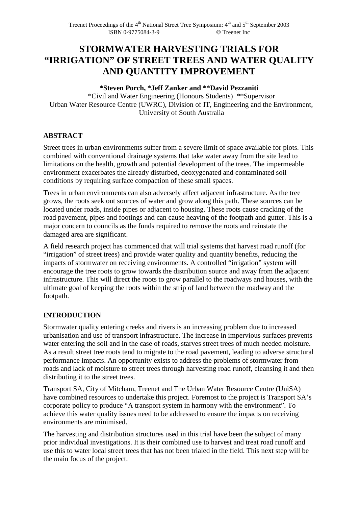# **STORMWATER HARVESTING TRIALS FOR "IRRIGATION" OF STREET TREES AND WATER QUALITY AND QUANTITY IMPROVEMENT**

## **\*Steven Porch, \*Jeff Zanker and \*\*David Pezzaniti**

\*Civil and Water Engineering (Honours Students) \*\*Supervisor Urban Water Resource Centre (UWRC), Division of IT, Engineering and the Environment, University of South Australia

# **ABSTRACT**

Street trees in urban environments suffer from a severe limit of space available for plots. This combined with conventional drainage systems that take water away from the site lead to limitations on the health, growth and potential development of the trees. The impermeable environment exacerbates the already disturbed, deoxygenated and contaminated soil conditions by requiring surface compaction of these small spaces.

Trees in urban environments can also adversely affect adjacent infrastructure. As the tree grows, the roots seek out sources of water and grow along this path. These sources can be located under roads, inside pipes or adjacent to housing. These roots cause cracking of the road pavement, pipes and footings and can cause heaving of the footpath and gutter. This is a major concern to councils as the funds required to remove the roots and reinstate the damaged area are significant.

A field research project has commenced that will trial systems that harvest road runoff (for "irrigation" of street trees) and provide water quality and quantity benefits, reducing the impacts of stormwater on receiving environments. A controlled "irrigation" system will encourage the tree roots to grow towards the distribution source and away from the adjacent infrastructure. This will direct the roots to grow parallel to the roadways and houses, with the ultimate goal of keeping the roots within the strip of land between the roadway and the footpath.

# **INTRODUCTION**

Stormwater quality entering creeks and rivers is an increasing problem due to increased urbanisation and use of transport infrastructure. The increase in impervious surfaces prevents water entering the soil and in the case of roads, starves street trees of much needed moisture. As a result street tree roots tend to migrate to the road pavement, leading to adverse structural performance impacts. An opportunity exists to address the problems of stormwater from roads and lack of moisture to street trees through harvesting road runoff, cleansing it and then distributing it to the street trees.

Transport SA, City of Mitcham, Treenet and The Urban Water Resource Centre (UniSA) have combined resources to undertake this project. Foremost to the project is Transport SA's corporate policy to produce "A transport system in harmony with the environment". To achieve this water quality issues need to be addressed to ensure the impacts on receiving environments are minimised.

The harvesting and distribution structures used in this trial have been the subject of many prior individual investigations. It is their combined use to harvest and treat road runoff and use this to water local street trees that has not been trialed in the field. This next step will be the main focus of the project.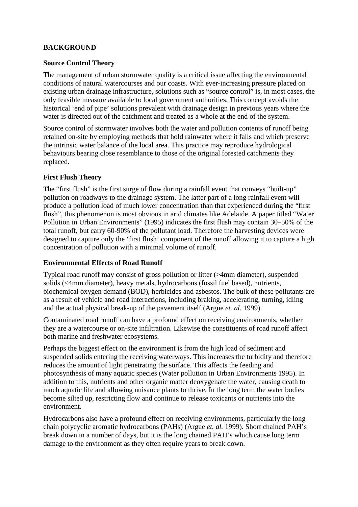## **BACKGROUND**

#### **Source Control Theory**

The management of urban stormwater quality is a critical issue affecting the environmental conditions of natural watercourses and our coasts. With ever-increasing pressure placed on existing urban drainage infrastructure, solutions such as "source control" is, in most cases, the only feasible measure available to local government authorities. This concept avoids the historical 'end of pipe' solutions prevalent with drainage design in previous years where the water is directed out of the catchment and treated as a whole at the end of the system.

Source control of stormwater involves both the water and pollution contents of runoff being retained on-site by employing methods that hold rainwater where it falls and which preserve the intrinsic water balance of the local area. This practice may reproduce hydrological behaviours bearing close resemblance to those of the original forested catchments they replaced.

#### **First Flush Theory**

The "first flush" is the first surge of flow during a rainfall event that conveys "built-up" pollution on roadways to the drainage system. The latter part of a long rainfall event will produce a pollution load of much lower concentration than that experienced during the "first flush", this phenomenon is most obvious in arid climates like Adelaide. A paper titled "Water Pollution in Urban Environments" (1995) indicates the first flush may contain 30–50% of the total runoff, but carry 60-90% of the pollutant load. Therefore the harvesting devices were designed to capture only the 'first flush' component of the runoff allowing it to capture a high concentration of pollution with a minimal volume of runoff.

#### **Environmental Effects of Road Runoff**

Typical road runoff may consist of gross pollution or litter (>4mm diameter), suspended solids (<4mm diameter), heavy metals, hydrocarbons (fossil fuel based), nutrients, biochemical oxygen demand (BOD), herbicides and asbestos. The bulk of these pollutants are as a result of vehicle and road interactions, including braking, accelerating, turning, idling and the actual physical break-up of the pavement itself (Argue *et. al.* 1999).

Contaminated road runoff can have a profound effect on receiving environments, whether they are a watercourse or on-site infiltration. Likewise the constituents of road runoff affect both marine and freshwater ecosystems.

Perhaps the biggest effect on the environment is from the high load of sediment and suspended solids entering the receiving waterways. This increases the turbidity and therefore reduces the amount of light penetrating the surface. This affects the feeding and photosynthesis of many aquatic species (Water pollution in Urban Environments 1995). In addition to this, nutrients and other organic matter deoxygenate the water, causing death to much aquatic life and allowing nuisance plants to thrive. In the long term the water bodies become silted up, restricting flow and continue to release toxicants or nutrients into the environment.

Hydrocarbons also have a profound effect on receiving environments, particularly the long chain polycyclic aromatic hydrocarbons (PAHs) (Argue *et. al.* 1999). Short chained PAH's break down in a number of days, but it is the long chained PAH's which cause long term damage to the environment as they often require years to break down.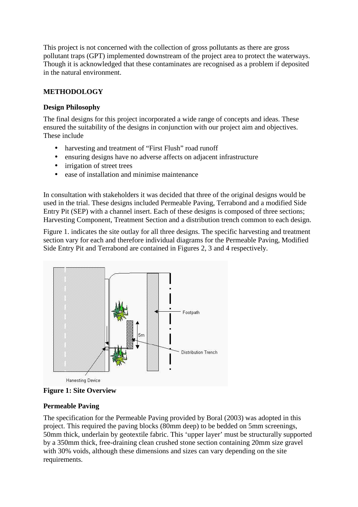This project is not concerned with the collection of gross pollutants as there are gross pollutant traps (GPT) implemented downstream of the project area to protect the waterways. Though it is acknowledged that these contaminates are recognised as a problem if deposited in the natural environment.

## **METHODOLOGY**

## **Design Philosophy**

The final designs for this project incorporated a wide range of concepts and ideas. These ensured the suitability of the designs in conjunction with our project aim and objectives. These include

- harvesting and treatment of "First Flush" road runoff
- ensuring designs have no adverse affects on adjacent infrastructure
- irrigation of street trees
- ease of installation and minimise maintenance

In consultation with stakeholders it was decided that three of the original designs would be used in the trial. These designs included Permeable Paving, Terrabond and a modified Side Entry Pit (SEP) with a channel insert. Each of these designs is composed of three sections; Harvesting Component, Treatment Section and a distribution trench common to each design.

Figure 1. indicates the site outlay for all three designs. The specific harvesting and treatment section vary for each and therefore individual diagrams for the Permeable Paving, Modified Side Entry Pit and Terrabond are contained in Figures 2, 3 and 4 respectively.





## **Permeable Paving**

The specification for the Permeable Paving provided by Boral (2003) was adopted in this project. This required the paving blocks (80mm deep) to be bedded on 5mm screenings, 50mm thick, underlain by geotextile fabric. This 'upper layer' must be structurally supported by a 350mm thick, free-draining clean crushed stone section containing 20mm size gravel with 30% voids, although these dimensions and sizes can vary depending on the site requirements.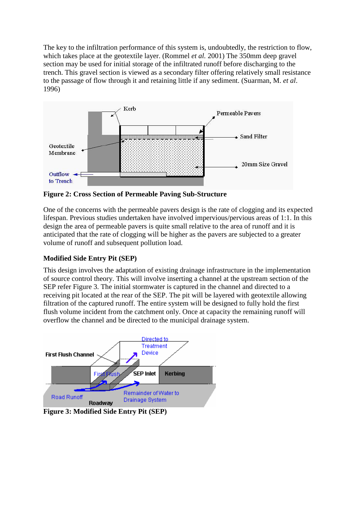The key to the infiltration performance of this system is, undoubtedly, the restriction to flow, which takes place at the geotextile layer. (Rommel *et al.* 2001) The 350mm deep gravel section may be used for initial storage of the infiltrated runoff before discharging to the trench. This gravel section is viewed as a secondary filter offering relatively small resistance to the passage of flow through it and retaining little if any sediment. (Suarman, M. *et al*. 1996)



**Figure 2: Cross Section of Permeable Paving Sub-Structure** 

One of the concerns with the permeable pavers design is the rate of clogging and its expected lifespan. Previous studies undertaken have involved impervious/pervious areas of 1:1. In this design the area of permeable pavers is quite small relative to the area of runoff and it is anticipated that the rate of clogging will be higher as the pavers are subjected to a greater volume of runoff and subsequent pollution load.

# **Modified Side Entry Pit (SEP)**

This design involves the adaptation of existing drainage infrastructure in the implementation of source control theory. This will involve inserting a channel at the upstream section of the SEP refer Figure 3. The initial stormwater is captured in the channel and directed to a receiving pit located at the rear of the SEP. The pit will be layered with geotextile allowing filtration of the captured runoff. The entire system will be designed to fully hold the first flush volume incident from the catchment only. Once at capacity the remaining runoff will overflow the channel and be directed to the municipal drainage system.



**Figure 3: Modified Side Entry Pit (SEP)**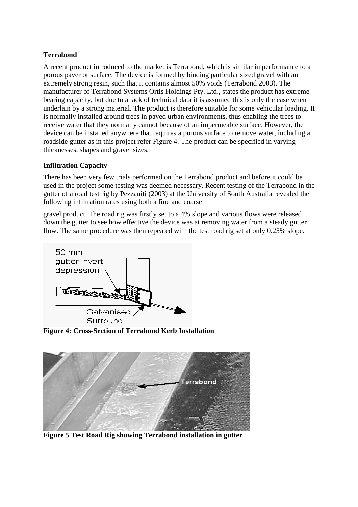# **Terrabond**

A recent product introduced to the market is Terrabond, which is similar in performance to a porous paver or surface. The device is formed by binding particular sized gravel with an extremely strong resin, such that it contains almost 50% voids (Terrabond 2003). The manufacturer of Terrabond Systems Ortis Holdings Pty. Ltd., states the product has extreme bearing capacity, but due to a lack of technical data it is assumed this is only the case when underlain by a strong material. The product is therefore suitable for some vehicular loading. It is normally installed around trees in paved urban environments, thus enabling the trees to receive water that they normally cannot because of an impermeable surface. However, the device can be installed anywhere that requires a porous surface to remove water, including a roadside gutter as in this project refer Figure 4. The product can be specified in varying thicknesses, shapes and gravel sizes.

## **Infiltration Capacity**

There has been very few trials performed on the Terrabond product and before it could be used in the project some testing was deemed necessary. Recent testing of the Terrabond in the gutter of a road test rig by Pezzaniti (2003) at the University of South Australia revealed the following infiltration rates using both a fine and coarse

gravel product. The road rig was firstly set to a 4% slope and various flows were released down the gutter to see how effective the device was at removing water from a steady gutter flow. The same procedure was then repeated with the test road rig set at only 0.25% slope.



**Figure 4: Cross-Section of Terrabond Kerb Installation** 



**Figure 5 Test Road Rig showing Terrabond installation in gutter**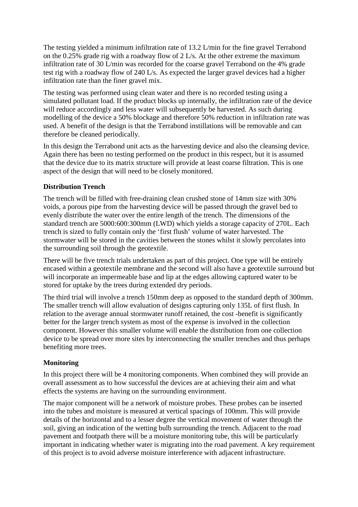The testing yielded a minimum infiltration rate of 13.2 L/min for the fine gravel Terrabond on the 0.25% grade rig with a roadway flow of 2 L/s. At the other extreme the maximum infiltration rate of 30 L/min was recorded for the coarse gravel Terrabond on the 4% grade test rig with a roadway flow of 240 L/s. As expected the larger gravel devices had a higher infiltration rate than the finer gravel mix.

The testing was performed using clean water and there is no recorded testing using a simulated pollutant load. If the product blocks up internally, the infiltration rate of the device will reduce accordingly and less water will subsequently be harvested. As such during modelling of the device a 50% blockage and therefore 50% reduction in infiltration rate was used. A benefit of the design is that the Terrabond instillations will be removable and can therefore be cleaned periodically.

In this design the Terrabond unit acts as the harvesting device and also the cleansing device. Again there has been no testing performed on the product in this respect, but it is assumed that the device due to its matrix structure will provide at least coarse filtration. This is one aspect of the design that will need to be closely monitored.

# **Distribution Trench**

The trench will be filled with free-draining clean crushed stone of 14mm size with 30% voids, a porous pipe from the harvesting device will be passed through the gravel bed to evenly distribute the water over the entire length of the trench. The dimensions of the standard trench are 5000:600:300mm (LWD) which yields a storage capacity of 270L. Each trench is sized to fully contain only the 'first flush' volume of water harvested. The stormwater will be stored in the cavities between the stones whilst it slowly percolates into the surrounding soil through the geotextile.

There will be five trench trials undertaken as part of this project. One type will be entirely encased within a geotextile membrane and the second will also have a geotextile surround but will incorporate an impermeable base and lip at the edges allowing captured water to be stored for uptake by the trees during extended dry periods.

The third trial will involve a trench 150mm deep as opposed to the standard depth of 300mm. The smaller trench will allow evaluation of designs capturing only 135L of first flush. In relation to the average annual stormwater runoff retained, the cost -benefit is significantly better for the larger trench system as most of the expense is involved in the collection component. However this smaller volume will enable the distribution from one collection device to be spread over more sites by interconnecting the smaller trenches and thus perhaps benefiting more trees.

## **Monitoring**

In this project there will be 4 monitoring components. When combined they will provide an overall assessment as to how successful the devices are at achieving their aim and what effects the systems are having on the surrounding environment.

The major component will be a network of moisture probes. These probes can be inserted into the tubes and moisture is measured at vertical spacings of 100mm. This will provide details of the horizontal and to a lesser degree the vertical movement of water through the soil, giving an indication of the wetting bulb surrounding the trench. Adjacent to the road pavement and footpath there will be a moisture monitoring tube, this will be particularly important in indicating whether water is migrating into the road pavement. A key requirement of this project is to avoid adverse moisture interference with adjacent infrastructure.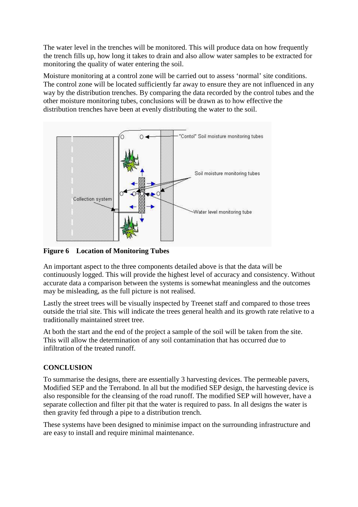The water level in the trenches will be monitored. This will produce data on how frequently the trench fills up, how long it takes to drain and also allow water samples to be extracted for monitoring the quality of water entering the soil.

Moisture monitoring at a control zone will be carried out to assess 'normal' site conditions. The control zone will be located sufficiently far away to ensure they are not influenced in any way by the distribution trenches. By comparing the data recorded by the control tubes and the other moisture monitoring tubes, conclusions will be drawn as to how effective the distribution trenches have been at evenly distributing the water to the soil.



**Figure 6 Location of Monitoring Tubes**

An important aspect to the three components detailed above is that the data will be continuously logged. This will provide the highest level of accuracy and consistency. Without accurate data a comparison between the systems is somewhat meaningless and the outcomes may be misleading, as the full picture is not realised.

Lastly the street trees will be visually inspected by Treenet staff and compared to those trees outside the trial site. This will indicate the trees general health and its growth rate relative to a traditionally maintained street tree.

At both the start and the end of the project a sample of the soil will be taken from the site. This will allow the determination of any soil contamination that has occurred due to infiltration of the treated runoff.

# **CONCLUSION**

To summarise the designs, there are essentially 3 harvesting devices. The permeable pavers, Modified SEP and the Terrabond. In all but the modified SEP design, the harvesting device is also responsible for the cleansing of the road runoff. The modified SEP will however, have a separate collection and filter pit that the water is required to pass. In all designs the water is then gravity fed through a pipe to a distribution trench.

These systems have been designed to minimise impact on the surrounding infrastructure and are easy to install and require minimal maintenance.